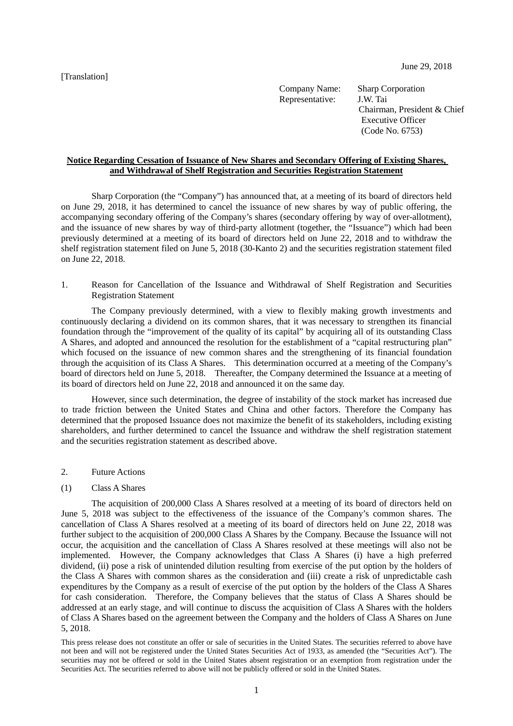[Translation]

Company Name: Sharp Corporation Representative: J.W. Tai Chairman, President & Chief Executive Officer (Code No. 6753)

## **Notice Regarding Cessation of Issuance of New Shares and Secondary Offering of Existing Shares, and Withdrawal of Shelf Registration and Securities Registration Statement**

Sharp Corporation (the "Company") has announced that, at a meeting of its board of directors held on June 29, 2018, it has determined to cancel the issuance of new shares by way of public offering, the accompanying secondary offering of the Company's shares (secondary offering by way of over-allotment), and the issuance of new shares by way of third-party allotment (together, the "Issuance") which had been previously determined at a meeting of its board of directors held on June 22, 2018 and to withdraw the shelf registration statement filed on June 5, 2018 (30-Kanto 2) and the securities registration statement filed on June 22, 2018.

1. Reason for Cancellation of the Issuance and Withdrawal of Shelf Registration and Securities Registration Statement

The Company previously determined, with a view to flexibly making growth investments and continuously declaring a dividend on its common shares, that it was necessary to strengthen its financial foundation through the "improvement of the quality of its capital" by acquiring all of its outstanding Class A Shares, and adopted and announced the resolution for the establishment of a "capital restructuring plan" which focused on the issuance of new common shares and the strengthening of its financial foundation through the acquisition of its Class A Shares. This determination occurred at a meeting of the Company's board of directors held on June 5, 2018. Thereafter, the Company determined the Issuance at a meeting of its board of directors held on June 22, 2018 and announced it on the same day.

However, since such determination, the degree of instability of the stock market has increased due to trade friction between the United States and China and other factors. Therefore the Company has determined that the proposed Issuance does not maximize the benefit of its stakeholders, including existing shareholders, and further determined to cancel the Issuance and withdraw the shelf registration statement and the securities registration statement as described above.

2. Future Actions

## (1) Class A Shares

The acquisition of 200,000 Class A Shares resolved at a meeting of its board of directors held on June 5, 2018 was subject to the effectiveness of the issuance of the Company's common shares. The cancellation of Class A Shares resolved at a meeting of its board of directors held on June 22, 2018 was further subject to the acquisition of 200,000 Class A Shares by the Company. Because the Issuance will not occur, the acquisition and the cancellation of Class A Shares resolved at these meetings will also not be implemented. However, the Company acknowledges that Class A Shares (i) have a high preferred dividend, (ii) pose a risk of unintended dilution resulting from exercise of the put option by the holders of the Class A Shares with common shares as the consideration and (iii) create a risk of unpredictable cash expenditures by the Company as a result of exercise of the put option by the holders of the Class A Shares for cash consideration. Therefore, the Company believes that the status of Class A Shares should be addressed at an early stage, and will continue to discuss the acquisition of Class A Shares with the holders of Class A Shares based on the agreement between the Company and the holders of Class A Shares on June 5, 2018.

This press release does not constitute an offer or sale of securities in the United States. The securities referred to above have not been and will not be registered under the United States Securities Act of 1933, as amended (the "Securities Act"). The securities may not be offered or sold in the United States absent registration or an exemption from registration under the Securities Act. The securities referred to above will not be publicly offered or sold in the United States.